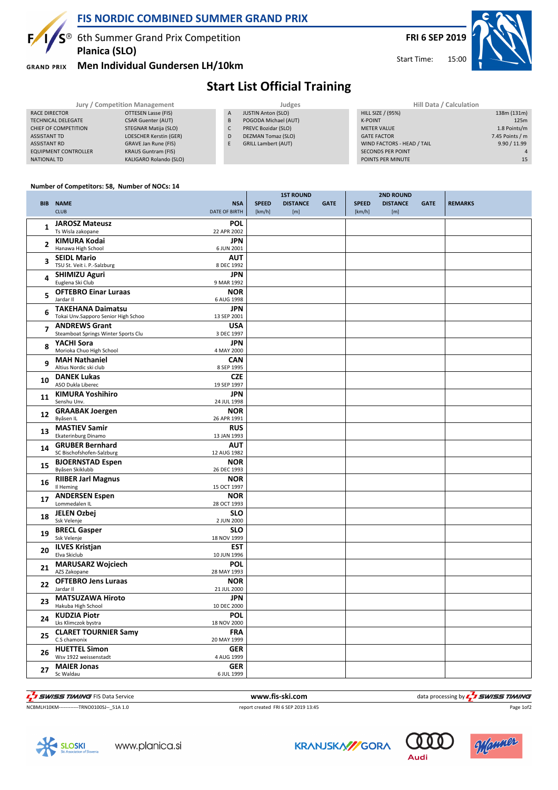

### **FIS NORDIC COMBINED SUMMER GRAND PRIX**

**1/S**<sup>®</sup> 6th Summer Grand Prix Competition **Planica (SLO)**

**GRAND PRIX** 

### **Men Individual Gundersen LH/10km**



Start Time:

# **Start List Official Training**

| Jury / Competition Management |                            |   | Judges                     | Hill Data / Calculation    |                 |  |
|-------------------------------|----------------------------|---|----------------------------|----------------------------|-----------------|--|
| RACE DIRECTOR                 | OTTESEN Lasse (FIS)        | A | <b>JUSTIN Anton (SLO)</b>  | <b>HILL SIZE / (95%)</b>   | 138m (131m)     |  |
| <b>TECHNICAL DELEGATE</b>     | <b>CSAR Guenter (AUT)</b>  | B | POGODA Michael (AUT)       | <b>K-POINT</b>             | 125m            |  |
| CHIEF OF COMPETITION          | STEGNAR Matija (SLO)       |   | PREVC Bozidar (SLO)        | <b>METER VALUE</b>         | 1.8 Points/m    |  |
| ASSISTANT TD                  | LOESCHER Kerstin (GER)     | D | DEZMAN Tomaz (SLO)         | <b>GATE FACTOR</b>         | 7.45 Points / m |  |
| <b>ASSISTANT RD</b>           | GRAVE Jan Rune (FIS)       |   | <b>GRILL Lambert (AUT)</b> | WIND FACTORS - HEAD / TAIL | 9.90 / 11.99    |  |
| <b>EQUIPMENT CONTROLLER</b>   | <b>KRAUS Guntram (FIS)</b> |   |                            | <b>SECONDS PER POINT</b>   |                 |  |
| NATIONAL TD                   | KALIGARO Rolando (SLO)     |   |                            | POINTS PER MINUTE          | 15              |  |

#### **Number of Competitors: 58, Number of NOCs: 14**

|    | <b>BIB NAME</b><br><b>CLUB</b>                                  | <b>NSA</b><br>DATE OF BIRTH | <b>SPEED</b><br>[km/h] | <b>1ST ROUND</b><br><b>DISTANCE</b><br>[m] | <b>GATE</b> | <b>SPEED</b><br>[km/h] | <b>2ND ROUND</b><br><b>DISTANCE</b><br>[m] | <b>GATE</b> | <b>REMARKS</b> |
|----|-----------------------------------------------------------------|-----------------------------|------------------------|--------------------------------------------|-------------|------------------------|--------------------------------------------|-------------|----------------|
| 1  | <b>JAROSZ Mateusz</b><br>Ts Wisla zakopane                      | <b>POL</b><br>22 APR 2002   |                        |                                            |             |                        |                                            |             |                |
| 2  | <b>KIMURA Kodai</b><br>Hanawa High School                       | <b>JPN</b><br>6 JUN 2001    |                        |                                            |             |                        |                                            |             |                |
| 3  | <b>SEIDL Mario</b><br>TSU St. Veit i. P.-Salzburg               | <b>AUT</b><br>8 DEC 1992    |                        |                                            |             |                        |                                            |             |                |
| 4  | <b>SHIMIZU Aguri</b><br>Euglena Ski Club                        | <b>JPN</b><br>9 MAR 1992    |                        |                                            |             |                        |                                            |             |                |
| 5  | <b>OFTEBRO Einar Luraas</b><br>Jardar II                        | <b>NOR</b><br>6 AUG 1998    |                        |                                            |             |                        |                                            |             |                |
| 6  | <b>TAKEHANA Daimatsu</b><br>Tokai Unv.Sapporo Senior High Schoo | <b>JPN</b><br>13 SEP 2001   |                        |                                            |             |                        |                                            |             |                |
| 7  | <b>ANDREWS Grant</b><br>Steamboat Springs Winter Sports Clu     | <b>USA</b><br>3 DEC 1997    |                        |                                            |             |                        |                                            |             |                |
| 8  | YACHI Sora<br>Morioka Chuo High School                          | <b>JPN</b><br>4 MAY 2000    |                        |                                            |             |                        |                                            |             |                |
| 9  | <b>MAH Nathaniel</b><br>Altius Nordic ski club                  | <b>CAN</b><br>8 SEP 1995    |                        |                                            |             |                        |                                            |             |                |
| 10 | <b>DANEK Lukas</b><br>ASO Dukla Liberec                         | <b>CZE</b><br>19 SEP 1997   |                        |                                            |             |                        |                                            |             |                |
| 11 | <b>KIMURA Yoshihiro</b><br>Senshu Unv.                          | <b>JPN</b><br>24 JUL 1998   |                        |                                            |             |                        |                                            |             |                |
| 12 | <b>GRAABAK Joergen</b><br>Byåsen IL                             | <b>NOR</b><br>26 APR 1991   |                        |                                            |             |                        |                                            |             |                |
| 13 | <b>MASTIEV Samir</b><br>Ekaterinburg Dinamo                     | <b>RUS</b><br>13 JAN 1993   |                        |                                            |             |                        |                                            |             |                |
| 14 | <b>GRUBER Bernhard</b><br>SC Bischofshofen-Salzburg             | <b>AUT</b><br>12 AUG 1982   |                        |                                            |             |                        |                                            |             |                |
| 15 | <b>BJOERNSTAD Espen</b><br>Byåsen Skiklubb                      | <b>NOR</b><br>26 DEC 1993   |                        |                                            |             |                        |                                            |             |                |
| 16 | <b>RIIBER Jarl Magnus</b><br>Il Heming                          | <b>NOR</b><br>15 OCT 1997   |                        |                                            |             |                        |                                            |             |                |
| 17 | <b>ANDERSEN Espen</b><br>Lommedalen IL                          | <b>NOR</b><br>28 OCT 1993   |                        |                                            |             |                        |                                            |             |                |
| 18 | <b>JELEN Ozbej</b><br>Ssk Velenje                               | <b>SLO</b><br>2 JUN 2000    |                        |                                            |             |                        |                                            |             |                |
| 19 | <b>BRECL Gasper</b><br>Ssk Velenje                              | <b>SLO</b><br>18 NOV 1999   |                        |                                            |             |                        |                                            |             |                |
| 20 | <b>ILVES Kristjan</b><br>Elva Skiclub                           | <b>EST</b><br>10 JUN 1996   |                        |                                            |             |                        |                                            |             |                |
| 21 | <b>MARUSARZ Wojciech</b><br>AZS Zakopane                        | POL<br>28 MAY 1993          |                        |                                            |             |                        |                                            |             |                |
| 22 | <b>OFTEBRO Jens Luraas</b><br>Jardar II                         | <b>NOR</b><br>21 JUL 2000   |                        |                                            |             |                        |                                            |             |                |
| 23 | <b>MATSUZAWA Hiroto</b><br>Hakuba High School                   | <b>JPN</b><br>10 DEC 2000   |                        |                                            |             |                        |                                            |             |                |
| 24 | <b>KUDZIA Piotr</b><br>Lks Klimczok bystra                      | <b>POL</b><br>18 NOV 2000   |                        |                                            |             |                        |                                            |             |                |
| 25 | <b>CLARET TOURNIER Samy</b><br>C.S chamonix                     | <b>FRA</b><br>20 MAY 1999   |                        |                                            |             |                        |                                            |             |                |
| 26 | <b>HUETTEL Simon</b><br>Wsv 1922 weissenstadt                   | GER<br>4 AUG 1999           |                        |                                            |             |                        |                                            |             |                |
| 27 | <b>MAIER Jonas</b><br>Sc Waldau                                 | <b>GER</b><br>6 JUL 1999    |                        |                                            |             |                        |                                            |             |                |

THE SUNSES TIMING FIS Data Service **the Contract of Contract Automatic Service** www.fis-ski.com data processing by  $\frac{1}{2}$  SWISS TIMING  $\overline{\mathbf{z}}$ 

NCBMLH10KM------------TRNO0100SJ--\_51A 1.0 report created FRI 6 SEP 2019 13:45













Audi